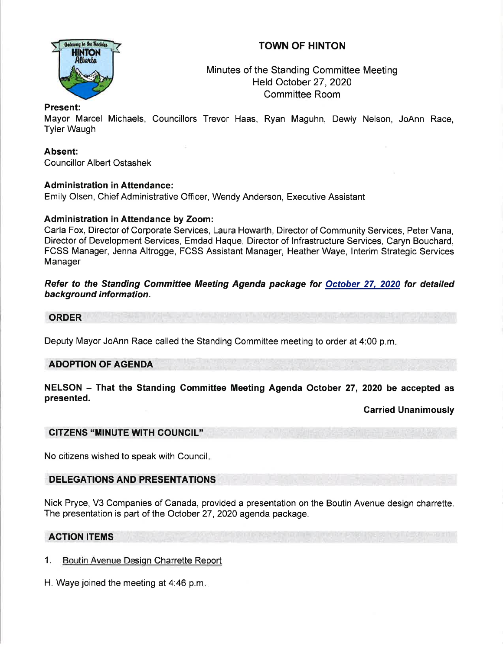# TOWN OF HINTON



# Minutes of the Standing Committee Meeting Held October 27,2020 Committee Room

### Present:

Mayor Marcel Michaels, Councillors Trevor Haas, Ryan Maguhn, Dewly Nelson, JoAnn Race, Tyler Waugh

### Absent:

Councillor Albert Ostashek

#### **Administration in Attendance:**

Emily Olsen, Chief Administrative Officer, Wendy Anderson, Executive Assistant

### Administration in Attendance by Zoom:

Carla Fox, Director of Corporate Services, Laura Howarth, Director of Community Services, Peter Vana, Director of Development Services, Emdad Haque, Director of lnfrastructure Services, Caryn Bouchard, FCSS Manager, Jenna Altrogge, FCSS Assistant Manager, Heather Waye, lnterim Strategic Services Manager

Refer to the Standing Committee Meeting Agenda package for October 27, 2020 for detailed background information.

ORDER

Deputy Mayor JoAnn Race called the Standing Committee meeting to order at 4:00 p.m

## ADOPTION OF AGENDA

NELSON - That the Standing Committee Meeting Agenda October 27, 2020 be accepted as presented.

Carried Unanimously

#### CITZENS "MINUTE WITH COUNCIL"

No citizens wished to speak with Council

## DELEGATIONS AND PRESENTATIONS

Nick Pryce, V3 Companies of Canada, provided a presentation on the Boutin Avenue design charrette. The presentation is part of the October 27,2020 agenda package.

#### ACTION ITEMS

- 1. Boutin Avenue Design Charrette Report
- H. Waye joined the meeting at 4:46 p.m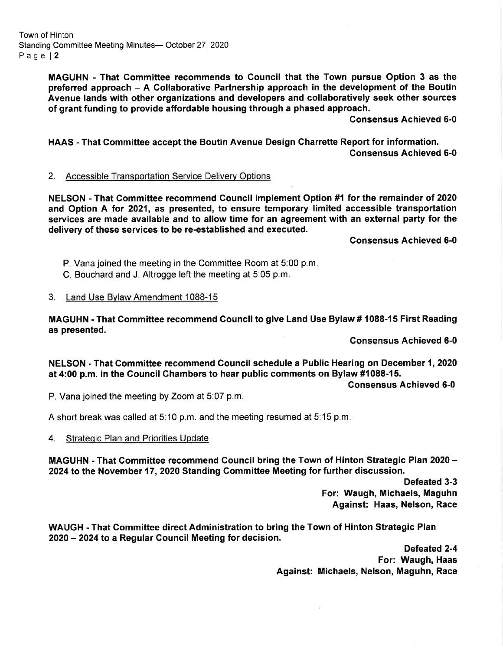Town of Hinton Standing Committee Meeting Minutes- October 27, 2020 Page | 2

> MAGUHN - That Gommittee recommends to Gouncil that the Town pursue Option 3 as the preferred approach - A Gollaborative Partnership approach in the development of the Boutin Avenue lands with other organizations and developers and collaboratively seek other sources of grant funding to provide affordable housing through a phased approach.

> > Consensus Achieved 6-0

HAAS - That Gommittee accept the Boutin Avenue Design Charrette Report for information. Consensus Achieved 6-0

#### 2. Accessible Transportation Service Delivery Options

NELSON - That Gommittee recommend Council implement Option #1 tor the remainder of 2020 and Option A for 2021, as presented, to ensure temporary limited accessible transportation services are made available and to allow time for an agreement with an external party for the delivery of these services to be re-established and executed.

Consensus Achieved 6-0

P. Vana joined the meeting in the Committee Room at 5:00 p.m

- C. Bouchard and J. Altrogge left the meeting at 5:05 p.m.
- 3. Land Use Bvlaw Amendment 1088-15

MAGUHN - That Gommittee recommend Gouncil to give Land Use Bylaw # 1088-15 First Reading as presented.

Gonsensus Achieved 6-0

NELSON - That Gommittee recommend Council schedule a Public Hearing on December 1,2020 at 4:00 p.m. in the Gouncil Chambers to hear public comments on Bylaw #1088-15.

Gonsensus Achieved 6-0

P. Vana joined the meeting by Zoom at 5:07 p.m.

A short break was called at 5:10 p.m. and the meeting resumed at 5:15 p.m

4. Strategic Plan and Priorities Update

MAGUHN - That Committee recommend Council bring the Town of Hinton Strategic Plan 2020 -2024 to the November 17,2020 Standing Committee Meeting for further discussion.

> Defeated 3-3 For: Waugh, Michaels, Maguhn Against: Haas, Nelson, Race

WAUGH - That Gommittee direct Administration to bring the Town of Hinton Strategic Plan 2020 - 2024 to a Regular Council Meeting for decision.

> Defeated 2-4 For: Waugh, Haas Against: Michaels, Nelson, Maguhn, Race